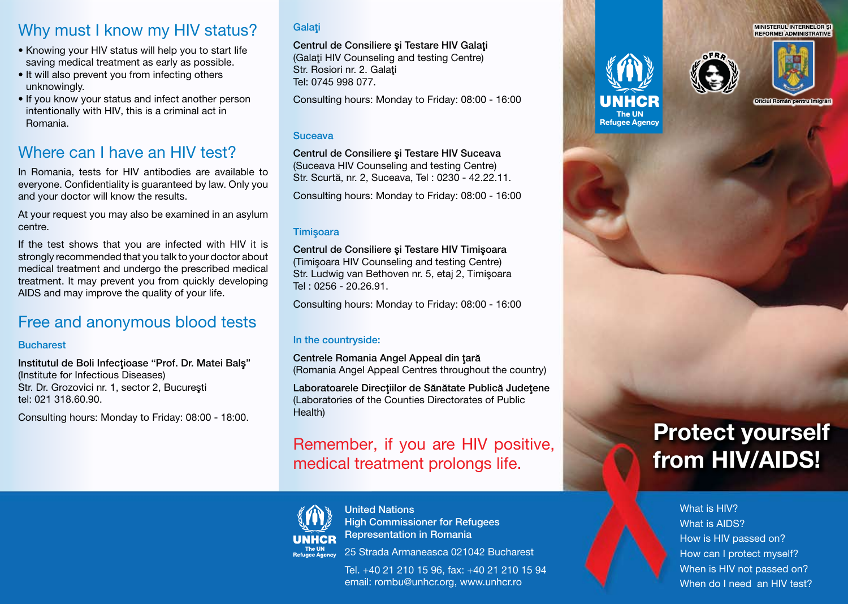# Why must I know my HIV status?

- Knowing your HIV status will help you to start life saving medical treatment as early as possible.
- It will also prevent you from infecting others unknowingly.
- If you know your status and infect another person intentionally with HIV, this is a criminal act in Romania.

# Where can I have an HIV test?

In Romania, tests for HIV antibodies are available to everyone. Confidentiality is guaranteed by law. Only you and your doctor will know the results.

At your request you may also be examined in an asylum centre.

If the test shows that you are infected with HIV it is strongly recommended that you talk to your doctor about medical treatment and undergo the prescribed medical treatment. It may prevent you from quickly developing AIDS and may improve the quality of your life.

## Free and anonymous blood tests

#### **Bucharest**

Institutul de Boli Infectioase "Prof. Dr. Matei Bals" (Institute for Infectious Diseases) Str. Dr. Grozovici nr. 1, sector 2, Bucureşti tel: 021 318.60.90.

Consulting hours: Monday to Friday: 08:00 - 18:00.

### **Galati**

Centrul de Consiliere și Testare HIV Galati (Galati HIV Counseling and testing Centre) Str. Rosiori nr. 2. Galati Tel: 0745 998 077.

Consulting hours: Monday to Friday: 08:00 - 16:00

### Suceava

Centrul de Consiliere şi Testare HIV Suceava (Suceava HIV Counseling and testing Centre) Str. Scurtă, nr. 2, Suceava, Tel : 0230 - 42.22.11.

Consulting hours: Monday to Friday: 08:00 - 16:00

### **Timisoara**

Centrul de Consiliere şi Testare HIV Timişoara (Timişoara HIV Counseling and testing Centre) Str. Ludwig van Bethoven nr. 5, etaj 2, Timişoara Tel : 0256 - 20.26.91.

Consulting hours: Monday to Friday: 08:00 - 16:00

### In the countryside:

Centrele Romania Angel Appeal din tară (Romania Angel Appeal Centres throughout the country)

Laboratoarele Direcțiilor de Sănătate Publică Județene (Laboratories of the Counties Directorates of Public Health)

# Remember, if you are HIV positive, medical treatment prolongs life.



United Nations High Commissioner for Refugees Representation in Romania

25 Strada Armaneasca 021042 Bucharest

Tel. +40 21 210 15 96, fax: +40 21 210 15 94 email: rombu@unhcr.org, www.unhcr.ro







MINISTERUL INTERNELOR **Ş**<br>REFORMEI ADMINISTRATIVE

# **Protect yourself from HIV/AIDS!**

What is HIV? What is AIDS? How is HIV passed on? How can I protect myself? When is HIV not passed on? When do I need an HIV test?